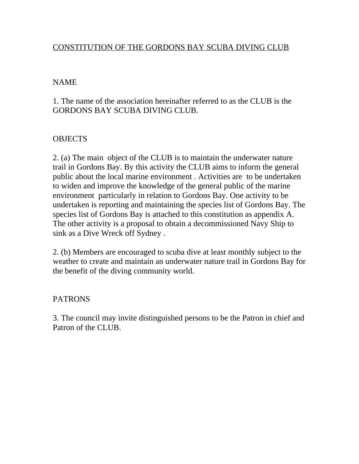## CONSTITUTION OF THE GORDONS BAY SCUBA DIVING CLUB

#### NAME

1. The name of the association hereinafter referred to as the CLUB is the GORDONS BAY SCUBA DIVING CLUB.

#### **OBJECTS**

2. (a) The main object of the CLUB is to maintain the underwater nature trail in Gordons Bay. By this activity the CLUB aims to inform the general public about the local marine environment . Activities are to be undertaken to widen and improve the knowledge of the general public of the marine environment particularly in relation to Gordons Bay. One activity to be undertaken is reporting and maintaining the species list of Gordons Bay. The species list of Gordons Bay is attached to this constitution as appendix A. The other activity is a proposal to obtain a decommissioned Navy Ship to sink as a Dive Wreck off Sydney .

2. (b) Members are encouraged to scuba dive at least monthly subject to the weather to create and maintain an underwater nature trail in Gordons Bay for the benefit of the diving community world.

#### PATRONS

3. The council may invite distinguished persons to be the Patron in chief and Patron of the CLUB.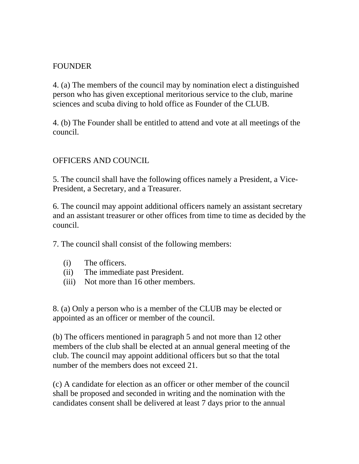### FOUNDER

4. (a) The members of the council may by nomination elect a distinguished person who has given exceptional meritorious service to the club, marine sciences and scuba diving to hold office as Founder of the CLUB.

4. (b) The Founder shall be entitled to attend and vote at all meetings of the council.

### OFFICERS AND COUNCIL

5. The council shall have the following offices namely a President, a Vice-President, a Secretary, and a Treasurer.

6. The council may appoint additional officers namely an assistant secretary and an assistant treasurer or other offices from time to time as decided by the council.

7. The council shall consist of the following members:

- (i) The officers.
- (ii) The immediate past President.
- (iii) Not more than 16 other members.

8. (a) Only a person who is a member of the CLUB may be elected or appointed as an officer or member of the council.

(b) The officers mentioned in paragraph 5 and not more than 12 other members of the club shall be elected at an annual general meeting of the club. The council may appoint additional officers but so that the total number of the members does not exceed 21.

(c) A candidate for election as an officer or other member of the council shall be proposed and seconded in writing and the nomination with the candidates consent shall be delivered at least 7 days prior to the annual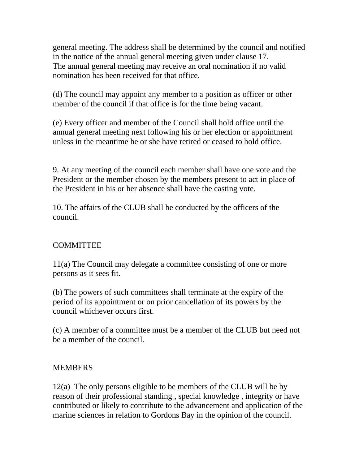general meeting. The address shall be determined by the council and notified in the notice of the annual general meeting given under clause 17. The annual general meeting may receive an oral nomination if no valid nomination has been received for that office.

(d) The council may appoint any member to a position as officer or other member of the council if that office is for the time being vacant.

(e) Every officer and member of the Council shall hold office until the annual general meeting next following his or her election or appointment unless in the meantime he or she have retired or ceased to hold office.

9. At any meeting of the council each member shall have one vote and the President or the member chosen by the members present to act in place of the President in his or her absence shall have the casting vote.

10. The affairs of the CLUB shall be conducted by the officers of the council.

# **COMMITTEE**

11(a) The Council may delegate a committee consisting of one or more persons as it sees fit.

(b) The powers of such committees shall terminate at the expiry of the period of its appointment or on prior cancellation of its powers by the council whichever occurs first.

(c) A member of a committee must be a member of the CLUB but need not be a member of the council.

### **MEMBERS**

12(a) The only persons eligible to be members of the CLUB will be by reason of their professional standing , special knowledge , integrity or have contributed or likely to contribute to the advancement and application of the marine sciences in relation to Gordons Bay in the opinion of the council.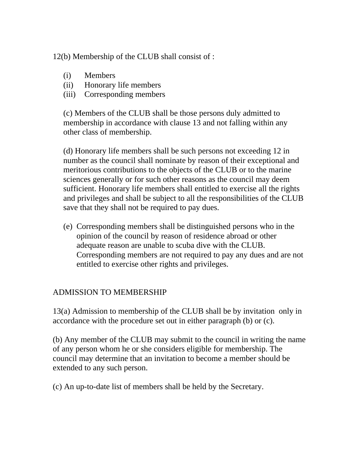12(b) Membership of the CLUB shall consist of :

- (i) Members
- (ii) Honorary life members
- (iii) Corresponding members

(c) Members of the CLUB shall be those persons duly admitted to membership in accordance with clause 13 and not falling within any other class of membership.

(d) Honorary life members shall be such persons not exceeding 12 in number as the council shall nominate by reason of their exceptional and meritorious contributions to the objects of the CLUB or to the marine sciences generally or for such other reasons as the council may deem sufficient. Honorary life members shall entitled to exercise all the rights and privileges and shall be subject to all the responsibilities of the CLUB save that they shall not be required to pay dues.

(e) Corresponding members shall be distinguished persons who in the opinion of the council by reason of residence abroad or other adequate reason are unable to scuba dive with the CLUB. Corresponding members are not required to pay any dues and are not entitled to exercise other rights and privileges.

# ADMISSION TO MEMBERSHIP

13(a) Admission to membership of the CLUB shall be by invitation only in accordance with the procedure set out in either paragraph (b) or (c).

(b) Any member of the CLUB may submit to the council in writing the name of any person whom he or she considers eligible for membership. The council may determine that an invitation to become a member should be extended to any such person.

(c) An up-to-date list of members shall be held by the Secretary.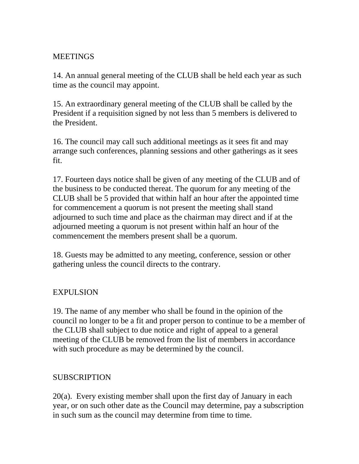## **MEETINGS**

14. An annual general meeting of the CLUB shall be held each year as such time as the council may appoint.

15. An extraordinary general meeting of the CLUB shall be called by the President if a requisition signed by not less than 5 members is delivered to the President.

16. The council may call such additional meetings as it sees fit and may arrange such conferences, planning sessions and other gatherings as it sees fit.

17. Fourteen days notice shall be given of any meeting of the CLUB and of the business to be conducted thereat. The quorum for any meeting of the CLUB shall be 5 provided that within half an hour after the appointed time for commencement a quorum is not present the meeting shall stand adjourned to such time and place as the chairman may direct and if at the adjourned meeting a quorum is not present within half an hour of the commencement the members present shall be a quorum.

18. Guests may be admitted to any meeting, conference, session or other gathering unless the council directs to the contrary.

### EXPULSION

19. The name of any member who shall be found in the opinion of the council no longer to be a fit and proper person to continue to be a member of the CLUB shall subject to due notice and right of appeal to a general meeting of the CLUB be removed from the list of members in accordance with such procedure as may be determined by the council.

### SUBSCRIPTION

20(a). Every existing member shall upon the first day of January in each year, or on such other date as the Council may determine, pay a subscription in such sum as the council may determine from time to time.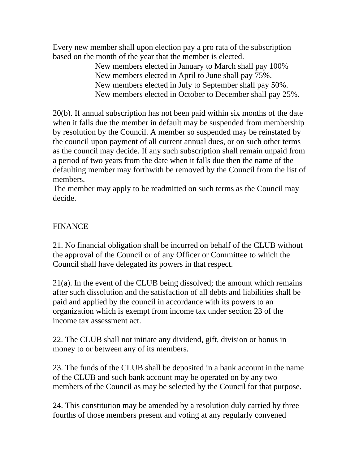Every new member shall upon election pay a pro rata of the subscription based on the month of the year that the member is elected.

New members elected in January to March shall pay 100% New members elected in April to June shall pay 75%. New members elected in July to September shall pay 50%. New members elected in October to December shall pay 25%.

20(b). If annual subscription has not been paid within six months of the date when it falls due the member in default may be suspended from membership by resolution by the Council. A member so suspended may be reinstated by the council upon payment of all current annual dues, or on such other terms as the council may decide. If any such subscription shall remain unpaid from a period of two years from the date when it falls due then the name of the defaulting member may forthwith be removed by the Council from the list of members.

The member may apply to be readmitted on such terms as the Council may decide.

# FINANCE

21. No financial obligation shall be incurred on behalf of the CLUB without the approval of the Council or of any Officer or Committee to which the Council shall have delegated its powers in that respect.

21(a). In the event of the CLUB being dissolved; the amount which remains after such dissolution and the satisfaction of all debts and liabilities shall be paid and applied by the council in accordance with its powers to an organization which is exempt from income tax under section 23 of the income tax assessment act.

22. The CLUB shall not initiate any dividend, gift, division or bonus in money to or between any of its members.

23. The funds of the CLUB shall be deposited in a bank account in the name of the CLUB and such bank account may be operated on by any two members of the Council as may be selected by the Council for that purpose.

24. This constitution may be amended by a resolution duly carried by three fourths of those members present and voting at any regularly convened